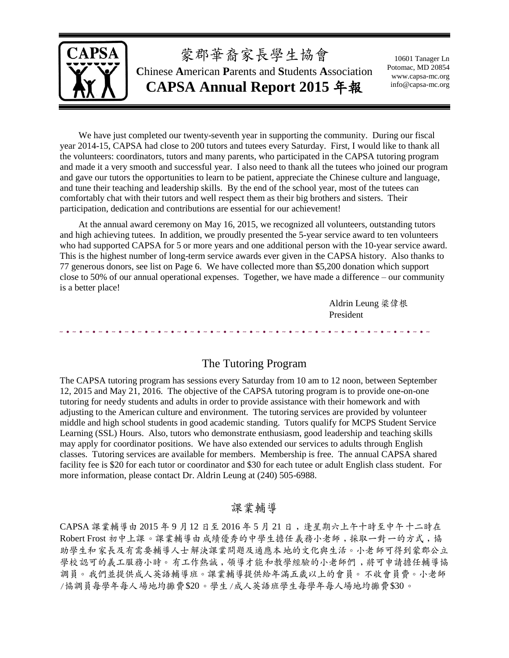

# 蒙郡華裔家長學生協會

**C**hinese **A**merican **P**arents and **S**tudents **A**ssociation **CAPSA Annual Report 2015** 年報

10601 Tanager Ln Potomac, MD 20854 www.capsa-mc.org info@capsa-mc.org

We have just completed our twenty-seventh year in supporting the community. During our fiscal year 2014-15, CAPSA had close to 200 tutors and tutees every Saturday. First, I would like to thank all the volunteers: coordinators, tutors and many parents, who participated in the CAPSA tutoring program and made it a very smooth and successful year. I also need to thank all the tutees who joined our program and gave our tutors the opportunities to learn to be patient, appreciate the Chinese culture and language, and tune their teaching and leadership skills. By the end of the school year, most of the tutees can comfortably chat with their tutors and well respect them as their big brothers and sisters. Their participation, dedication and contributions are essential for our achievement!

At the annual award ceremony on May 16, 2015, we recognized all volunteers, outstanding tutors and high achieving tutees. In addition, we proudly presented the 5-year service award to ten volunteers who had supported CAPSA for 5 or more years and one additional person with the 10-year service award. This is the highest number of long-term service awards ever given in the CAPSA history. Also thanks to 77 generous donors, see list on Page 6. We have collected more than \$5,200 donation which support close to 50% of our annual operational expenses. Together, we have made a difference – our community is a better place!

> Aldrin Leung 梁偉根 President

بدوند والداوات والداوات والداوات والداوات والداوات

#### The Tutoring Program

The CAPSA tutoring program has sessions every Saturday from 10 am to 12 noon, between September 12, 2015 and May 21, 2016. The objective of the CAPSA tutoring program is to provide one-on-one tutoring for needy students and adults in order to provide assistance with their homework and with adjusting to the American culture and environment. The tutoring services are provided by volunteer middle and high school students in good academic standing. Tutors qualify for MCPS Student Service Learning (SSL) Hours. Also, tutors who demonstrate enthusiasm, good leadership and teaching skills may apply for coordinator positions. We have also extended our services to adults through English classes. Tutoring services are available for members. Membership is free. The annual CAPSA shared facility fee is \$20 for each tutor or coordinator and \$30 for each tutee or adult English class student. For more information, please contact Dr. Aldrin Leung at (240) 505-6988.

### 課業輔導

CAPSA 課業輔導由 2015 年 9 月12 日至 2016 年 5 月 21 日﹐逢星期六上午十時至中午十二時在 Robert Frost 初中上課。課業輔導由成績優秀的中學生擔任義務小老師﹐採取一對一的方式﹐協 助學生和家長及有需要輔導人士解決課業問題及適應本地的文化與生活。小老師可得到蒙郡公立 學校認可的義工服務小時。有工作熱誠,領導才能和教學經驗的小老師們,將可申請擔任輔導協 調員。我們並提供成人英語輔導班。課業輔導提供給年滿五歲以上的會員。不收會員費。小老師 /協調員每學年每人場地均攤費\$20。學生/成人英語班學生每學年每人場地均攤費\$30。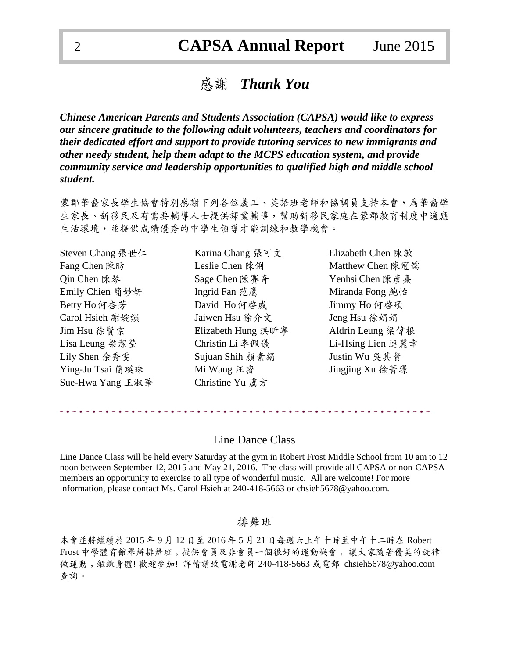### 感謝*Thank You*

*Chinese American Parents and Students Association (CAPSA) would like to express our sincere gratitude to the following adult volunteers, teachers and coordinators for their dedicated effort and support to provide tutoring services to new immigrants and other needy student, help them adapt to the MCPS education system, and provide community service and leadership opportunities to qualified high and middle school student.*

蒙郡華裔家長學生協會特別感謝下列各位義工、英語班老師和協調員支持本會,為華裔學 生家長、新移民及有需要輔導人士提供課業輔導,幫助新移民家庭在蒙郡教育制度中適應 生活環境,並提供成績優秀的中學生領導才能訓練和教學機會。

| Steven Chang 張世仁 | Karina Chang 張可文   | Elizabeth Chen 陳敏 |
|------------------|--------------------|-------------------|
| Fang Chen 陳昉     | Leslie Chen 陳俐     | Matthew Chen 陳冠儒  |
| Qin Chen 陳琴      | Sage Chen 陳賽奇      | Yenhsi Chen 陳彦熹   |
| Emily Chien 簡妙妍  | Ingrid Fan 范鷹      | Miranda Fong 鮑怡   |
| Betty Ho 何杏芳     | David Ho何啓威        | Jimmy Ho 何啓碩      |
| Carol Hsieh 謝婉媖  | Jaiwen Hsu 徐介文     | Jeng Hsu 徐娟娟      |
| Jim Hsu 徐賢宗      | Elizabeth Hung 洪昕寧 | Aldrin Leung 梁偉根  |
| Lisa Leung 梁潔瑩   | Christin Li 李佩儀    | Li-Hsing Lien 連麗幸 |
| Lily Shen 余秀雯    | Sujuan Shih 顏素絹    | Justin Wu 吳其賢     |
| Ying-Ju Tsai 簡瑛珠 | Mi Wang 汪密         | Jingjing Xu 徐菁璟   |
| Sue-Hwa Yang 王淑華 | Christine Yu 虞方    |                   |

#### Line Dance Class

Line Dance Class will be held every Saturday at the gym in Robert Frost Middle School from 10 am to 12 noon between September 12, 2015 and May 21, 2016. The class will provide all CAPSA or non-CAPSA members an opportunity to exercise to all type of wonderful music. All are welcome! For more information, please contact Ms. Carol Hsieh at 240-418-5663 or chsieh5678@yahoo.com.

#### 排舞班

本會並將繼續於 2015 年 9 月 12 日至 2016 年 5 月 21 日每週六上午十時至中午十二時在 Robert Frost 中學體育館舉辦排舞班﹐提供會員及非會員一個很好的運動機會﹐ 讓大家隨著優美的旋律 做運動﹐鍛鍊身體! 歡迎參加! 詳情請致電謝老師 240-418-5663 或電郵 chsieh5678@yahoo.com 查詢。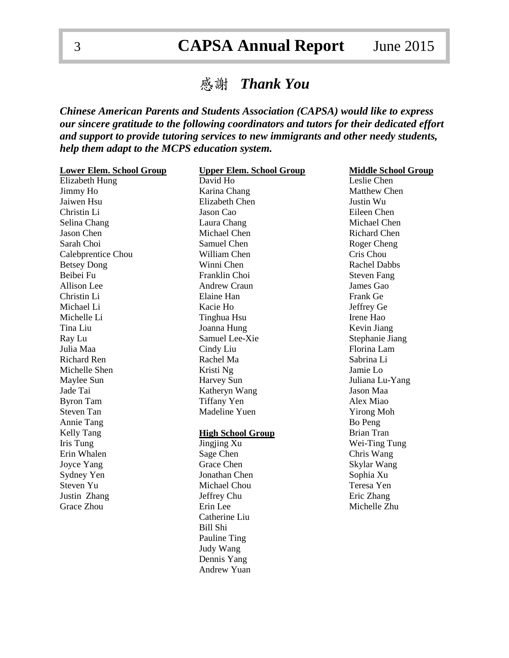## 感謝 *Thank You*

*Chinese American Parents and Students Association (CAPSA) would like to express our sincere gratitude to the following coordinators and tutors for their dedicated effort and support to provide tutoring services to new immigrants and other needy students, help them adapt to the MCPS education system.*

| <b>Lower Elem. School Group</b> | <b>Upper Elem. School Group</b> | <b>Middle School Group</b> |
|---------------------------------|---------------------------------|----------------------------|
| Elizabeth Hung                  | David Ho                        | Leslie Chen                |
| Jimmy Ho                        | Karina Chang                    | Matthew Chen               |
| Jaiwen Hsu                      | <b>Elizabeth Chen</b>           | Justin Wu                  |
| Christin Li                     | Jason Cao                       | Eileen Chen                |
| Selina Chang                    | Laura Chang                     | Michael Chen               |
| Jason Chen                      | Michael Chen                    | <b>Richard Chen</b>        |
| Sarah Choi                      | Samuel Chen                     | Roger Cheng                |
| Calebprentice Chou              | William Chen                    | Cris Chou                  |
| <b>Betsey Dong</b>              | Winni Chen                      | <b>Rachel Dabbs</b>        |
| Beibei Fu                       | Franklin Choi                   | <b>Steven Fang</b>         |
| Allison Lee                     | <b>Andrew Craun</b>             | James Gao                  |
| Christin Li                     | Elaine Han                      | Frank Ge                   |
| Michael Li                      | Kacie Ho                        | Jeffrey Ge                 |
| Michelle Li                     | Tinghua Hsu                     | Irene Hao                  |
| Tina Liu                        | Joanna Hung                     | Kevin Jiang                |
| Ray Lu                          | Samuel Lee-Xie                  | Stephanie Jiang            |
| Julia Maa                       | Cindy Liu                       | Florina Lam                |
| <b>Richard Ren</b>              | Rachel Ma                       | Sabrina Li                 |
| Michelle Shen                   | Kristi Ng                       | Jamie Lo                   |
| Maylee Sun                      | Harvey Sun                      | Juliana Lu-Yang            |
| Jade Tai                        | Katheryn Wang                   | Jason Maa                  |
| <b>Byron Tam</b>                | <b>Tiffany Yen</b>              | Alex Miao                  |
| <b>Steven Tan</b>               | Madeline Yuen                   | <b>Yirong Moh</b>          |
| Annie Tang                      |                                 | Bo Peng                    |
| <b>Kelly Tang</b>               | <b>High School Group</b>        | <b>Brian Tran</b>          |
| Iris Tung                       | Jingjing Xu                     | Wei-Ting Tung              |
| Erin Whalen                     | Sage Chen                       | Chris Wang                 |
| Joyce Yang                      | Grace Chen                      | Skylar Wang                |
| Sydney Yen                      | Jonathan Chen                   | Sophia Xu                  |
| Steven Yu                       | Michael Chou                    | Teresa Yen                 |
| Justin Zhang                    | Jeffrey Chu                     | Eric Zhang                 |
| <b>Grace Zhou</b>               | Erin Lee                        | Michelle Zhu               |
|                                 | Catherine Liu                   |                            |
|                                 | <b>Bill Shi</b>                 |                            |
|                                 | Pauline Ting                    |                            |

Judy Wang Dennis Yang Andrew Yuan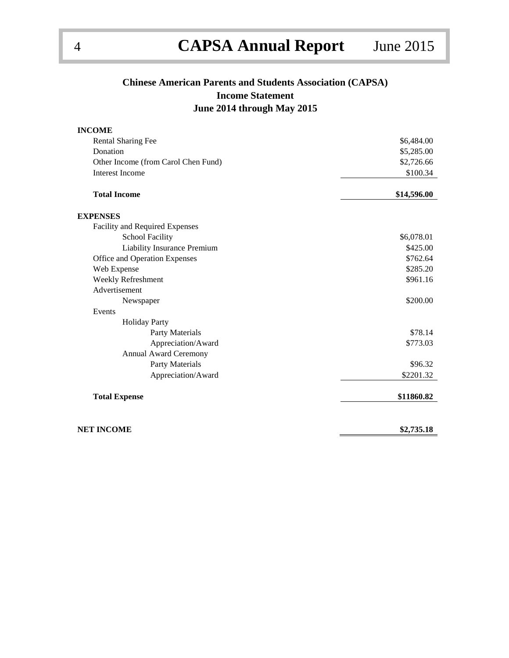### **Chinese American Parents and Students Association (CAPSA) Income Statement June 2014 through May 2015**

| <b>INCOME</b>                       |             |
|-------------------------------------|-------------|
| <b>Rental Sharing Fee</b>           | \$6,484.00  |
| Donation                            | \$5,285.00  |
| Other Income (from Carol Chen Fund) | \$2,726.66  |
| <b>Interest Income</b>              | \$100.34    |
| <b>Total Income</b>                 | \$14,596.00 |
| <b>EXPENSES</b>                     |             |
| Facility and Required Expenses      |             |
| <b>School Facility</b>              | \$6,078.01  |
| Liability Insurance Premium         | \$425.00    |
| Office and Operation Expenses       | \$762.64    |
| Web Expense                         | \$285.20    |
| Weekly Refreshment                  | \$961.16    |
| Advertisement                       |             |
| Newspaper                           | \$200.00    |
| Events                              |             |
| <b>Holiday Party</b>                |             |
| Party Materials                     | \$78.14     |
| Appreciation/Award                  | \$773.03    |
| <b>Annual Award Ceremony</b>        |             |
| Party Materials                     | \$96.32     |
| Appreciation/Award                  | \$2201.32   |
| <b>Total Expense</b>                | \$11860.82  |
|                                     |             |
| <b>NET INCOME</b>                   | \$2,735.18  |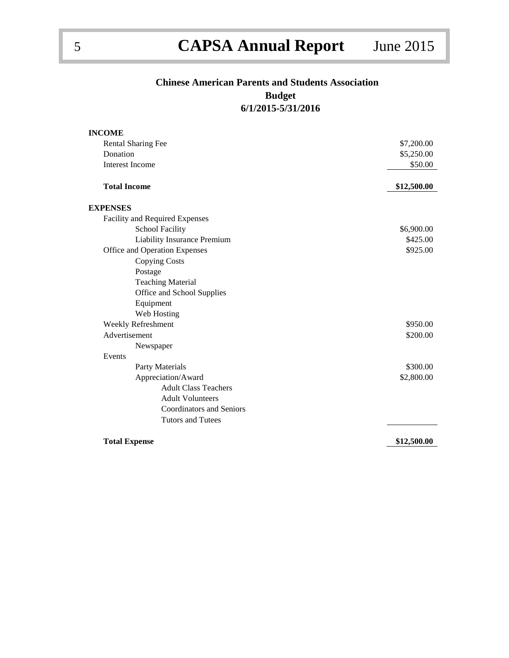### **Chinese American Parents and Students Association Budget**

**6/1/2015-5/31/2016**

| <b>INCOME</b>                      |             |
|------------------------------------|-------------|
| <b>Rental Sharing Fee</b>          | \$7,200.00  |
| Donation                           | \$5,250.00  |
| <b>Interest Income</b>             | \$50.00     |
|                                    |             |
| <b>Total Income</b>                | \$12,500.00 |
| <b>EXPENSES</b>                    |             |
| Facility and Required Expenses     |             |
| <b>School Facility</b>             | \$6,900.00  |
| <b>Liability Insurance Premium</b> | \$425.00    |
| Office and Operation Expenses      | \$925.00    |
| <b>Copying Costs</b>               |             |
| Postage                            |             |
| <b>Teaching Material</b>           |             |
| Office and School Supplies         |             |
| Equipment                          |             |
| Web Hosting                        |             |
| Weekly Refreshment                 | \$950.00    |
| Advertisement                      | \$200.00    |
| Newspaper                          |             |
| Events                             |             |
| Party Materials                    | \$300.00    |
| Appreciation/Award                 | \$2,800.00  |
| <b>Adult Class Teachers</b>        |             |
| <b>Adult Volunteers</b>            |             |
| <b>Coordinators and Seniors</b>    |             |
| <b>Tutors and Tutees</b>           |             |
| <b>Total Expense</b>               | \$12,500.00 |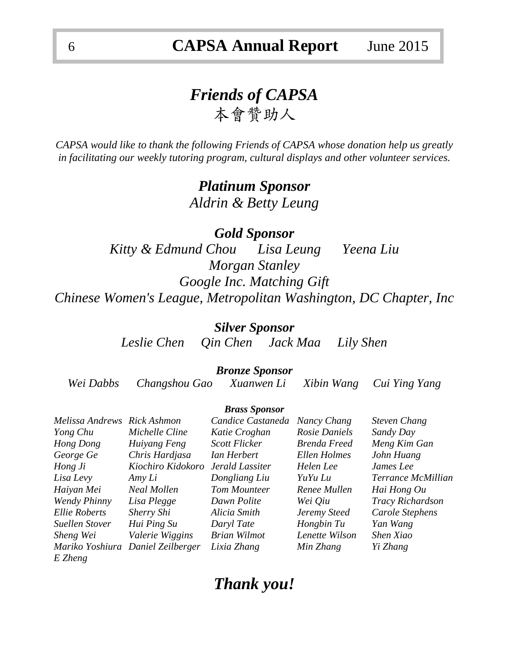# *Friends of CAPSA*  本會贊助人

*CAPSA would like to thank the following Friends of CAPSA whose donation help us greatly in facilitating our weekly tutoring program, cultural displays and other volunteer services.* 

> *Platinum Sponsor Aldrin & Betty Leung*

> > *Gold Sponsor*

*Kitty & Edmund Chou Lisa Leung Yeena Liu*

*Morgan Stanley Google Inc. Matching Gift*

*Chinese Women's League, Metropolitan Washington, DC Chapter, Inc*

### *Silver Sponsor*

*Leslie Chen Qin Chen Jack Maa Lily Shen*

#### *Bronze Sponsor*

*Wei Dabbs Changshou Gao Xuanwen Li Xibin Wang Cui Ying Yang*

### *Brass Sponsor*

| Melissa Andrews       | Rick Ashmon                       | Candice Castaneda    | Nancy Chang    | <b>Steven Chang</b>     |
|-----------------------|-----------------------------------|----------------------|----------------|-------------------------|
| Yong Chu              | Michelle Cline                    | Katie Croghan        | Rosie Daniels  | Sandy Day               |
| Hong Dong             | Huiyang Feng                      | <b>Scott Flicker</b> | Brenda Freed   | Meng Kim Gan            |
| George Ge             | Chris Hardjasa                    | Ian Herbert          | Ellen Holmes   | John Huang              |
| Hong Ji               | Kiochiro Kidokoro                 | Jerald Lassiter      | Helen Lee      | James Lee               |
| Lisa Levy             | Amy Li                            | Dongliang Liu        | YuYu Lu        | Terrance McMillian      |
| Haiyan Mei            | Neal Mollen                       | Tom Mounteer         | Renee Mullen   | Hai Hong Ou             |
| <b>Wendy Phinny</b>   | Lisa Plegge                       | Dawn Polite          | Wei Qiu        | <b>Tracy Richardson</b> |
| Ellie Roberts         | Sherry Shi                        | Alicia Smith         | Jeremy Steed   | Carole Stephens         |
| <b>Suellen Stover</b> | Hui Ping Su                       | Daryl Tate           | Hongbin Tu     | Yan Wang                |
| Sheng Wei             | Valerie Wiggins                   | <b>Brian Wilmot</b>  | Lenette Wilson | Shen Xiao               |
|                       | Mariko Yoshiura Daniel Zeilberger | Lixia Zhang          | Min Zhang      | Yi Zhang                |
| E Zheng               |                                   |                      |                |                         |

# *Thank you!*